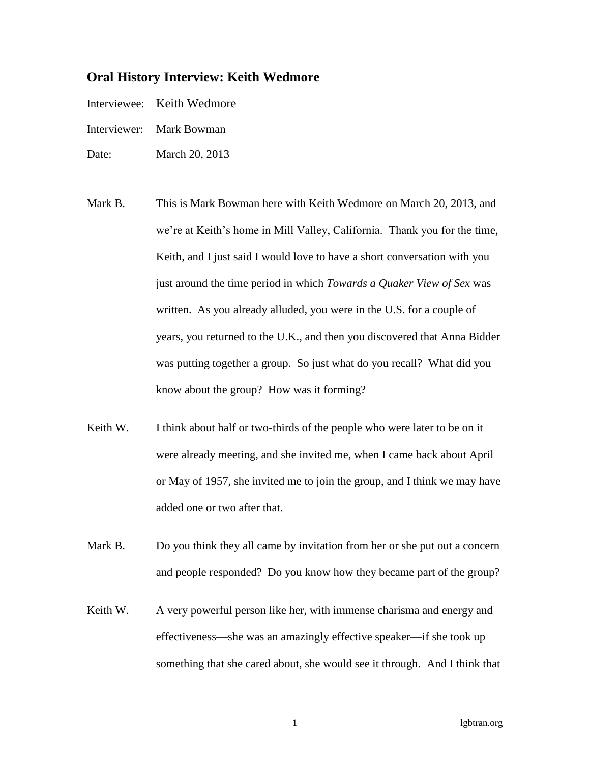## **Oral History Interview: Keith Wedmore**

- Interviewee: Keith Wedmore
- Interviewer: Mark Bowman
- Date: March 20, 2013
- Mark B. This is Mark Bowman here with Keith Wedmore on March 20, 2013, and we're at Keith's home in Mill Valley, California. Thank you for the time, Keith, and I just said I would love to have a short conversation with you just around the time period in which *Towards a Quaker View of Sex* was written. As you already alluded, you were in the U.S. for a couple of years, you returned to the U.K., and then you discovered that Anna Bidder was putting together a group. So just what do you recall? What did you know about the group? How was it forming?
- Keith W. I think about half or two-thirds of the people who were later to be on it were already meeting, and she invited me, when I came back about April or May of 1957, she invited me to join the group, and I think we may have added one or two after that.
- Mark B. Do you think they all came by invitation from her or she put out a concern and people responded? Do you know how they became part of the group?
- Keith W. A very powerful person like her, with immense charisma and energy and effectiveness—she was an amazingly effective speaker—if she took up something that she cared about, she would see it through. And I think that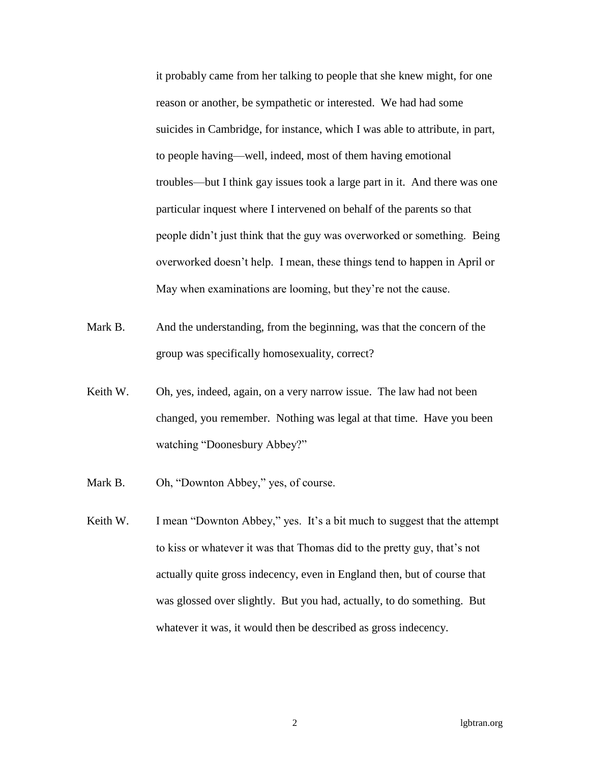it probably came from her talking to people that she knew might, for one reason or another, be sympathetic or interested. We had had some suicides in Cambridge, for instance, which I was able to attribute, in part, to people having—well, indeed, most of them having emotional troubles—but I think gay issues took a large part in it. And there was one particular inquest where I intervened on behalf of the parents so that people didn't just think that the guy was overworked or something. Being overworked doesn't help. I mean, these things tend to happen in April or May when examinations are looming, but they're not the cause.

- Mark B. And the understanding, from the beginning, was that the concern of the group was specifically homosexuality, correct?
- Keith W. Oh, yes, indeed, again, on a very narrow issue. The law had not been changed, you remember. Nothing was legal at that time. Have you been watching "Doonesbury Abbey?"
- Mark B. Oh, "Downton Abbey," yes, of course.
- Keith W. I mean "Downton Abbey," yes. It's a bit much to suggest that the attempt to kiss or whatever it was that Thomas did to the pretty guy, that's not actually quite gross indecency, even in England then, but of course that was glossed over slightly. But you had, actually, to do something. But whatever it was, it would then be described as gross indecency.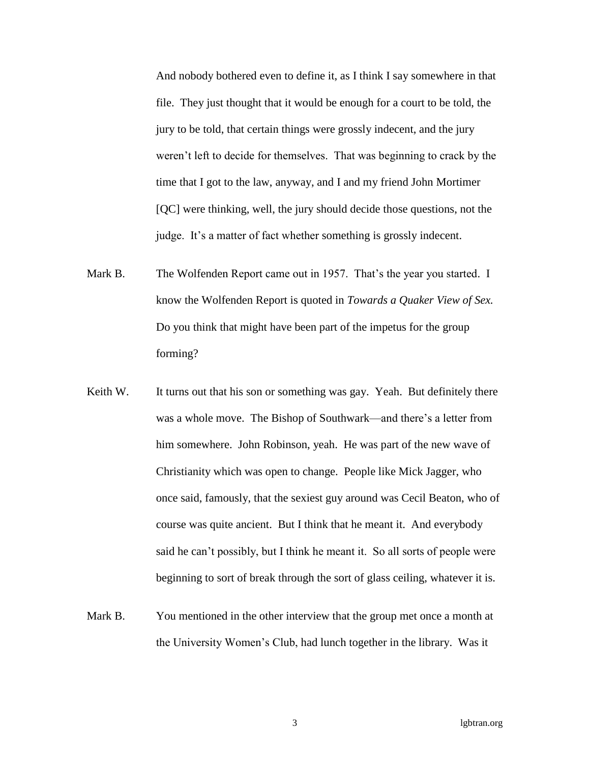And nobody bothered even to define it, as I think I say somewhere in that file. They just thought that it would be enough for a court to be told, the jury to be told, that certain things were grossly indecent, and the jury weren't left to decide for themselves. That was beginning to crack by the time that I got to the law, anyway, and I and my friend John Mortimer [QC] were thinking, well, the jury should decide those questions, not the judge. It's a matter of fact whether something is grossly indecent.

- Mark B. The Wolfenden Report came out in 1957. That's the year you started. I know the Wolfenden Report is quoted in *Towards a Quaker View of Sex.* Do you think that might have been part of the impetus for the group forming?
- Keith W. It turns out that his son or something was gay. Yeah. But definitely there was a whole move. The Bishop of Southwark—and there's a letter from him somewhere. John Robinson, yeah. He was part of the new wave of Christianity which was open to change. People like Mick Jagger, who once said, famously, that the sexiest guy around was Cecil Beaton, who of course was quite ancient. But I think that he meant it. And everybody said he can't possibly, but I think he meant it. So all sorts of people were beginning to sort of break through the sort of glass ceiling, whatever it is.
- Mark B. You mentioned in the other interview that the group met once a month at the University Women's Club, had lunch together in the library. Was it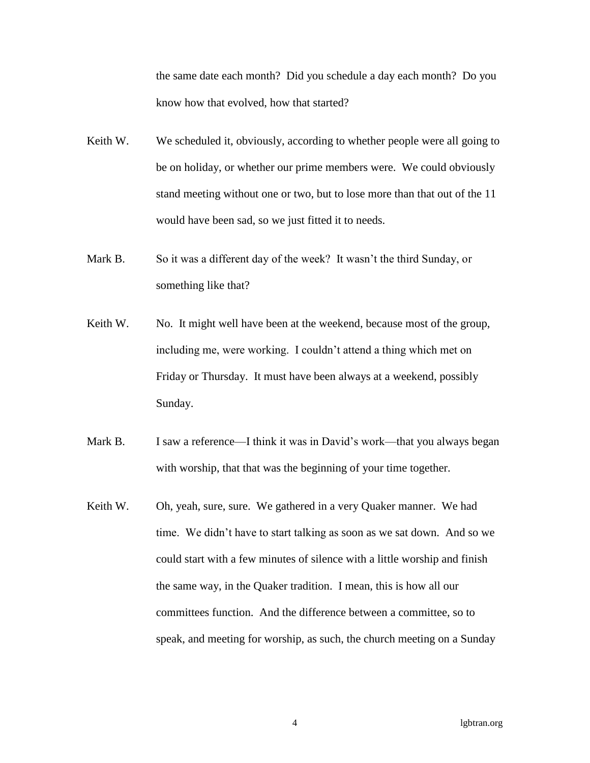the same date each month? Did you schedule a day each month? Do you know how that evolved, how that started?

- Keith W. We scheduled it, obviously, according to whether people were all going to be on holiday, or whether our prime members were. We could obviously stand meeting without one or two, but to lose more than that out of the 11 would have been sad, so we just fitted it to needs.
- Mark B. So it was a different day of the week? It wasn't the third Sunday, or something like that?
- Keith W. No. It might well have been at the weekend, because most of the group, including me, were working. I couldn't attend a thing which met on Friday or Thursday. It must have been always at a weekend, possibly Sunday.
- Mark B. I saw a reference—I think it was in David's work—that you always began with worship, that that was the beginning of your time together.
- Keith W. Oh, yeah, sure, sure. We gathered in a very Quaker manner. We had time. We didn't have to start talking as soon as we sat down. And so we could start with a few minutes of silence with a little worship and finish the same way, in the Quaker tradition. I mean, this is how all our committees function. And the difference between a committee, so to speak, and meeting for worship, as such, the church meeting on a Sunday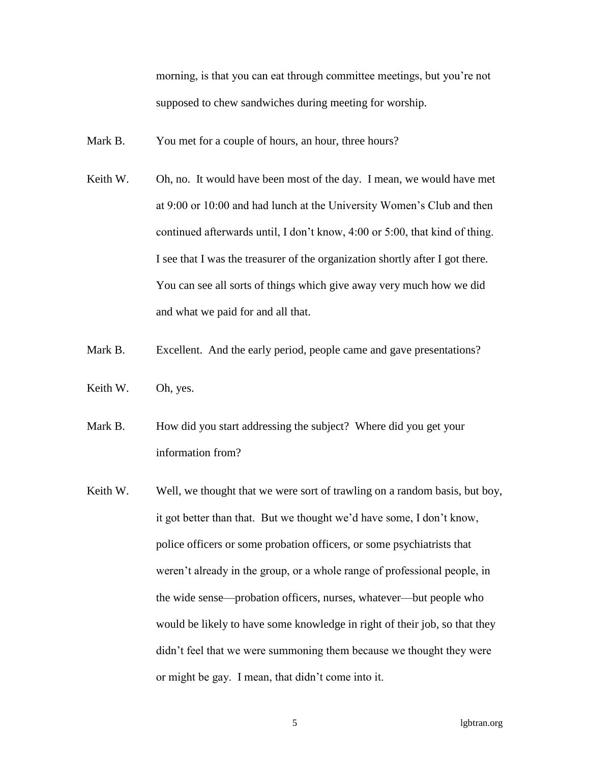morning, is that you can eat through committee meetings, but you're not supposed to chew sandwiches during meeting for worship.

- Mark B. You met for a couple of hours, an hour, three hours?
- Keith W. Oh, no. It would have been most of the day. I mean, we would have met at 9:00 or 10:00 and had lunch at the University Women's Club and then continued afterwards until, I don't know, 4:00 or 5:00, that kind of thing. I see that I was the treasurer of the organization shortly after I got there. You can see all sorts of things which give away very much how we did and what we paid for and all that.
- Mark B. Excellent. And the early period, people came and gave presentations?
- Keith W. Oh, yes.
- Mark B. How did you start addressing the subject? Where did you get your information from?
- Keith W. Well, we thought that we were sort of trawling on a random basis, but boy, it got better than that. But we thought we'd have some, I don't know, police officers or some probation officers, or some psychiatrists that weren't already in the group, or a whole range of professional people, in the wide sense—probation officers, nurses, whatever—but people who would be likely to have some knowledge in right of their job, so that they didn't feel that we were summoning them because we thought they were or might be gay. I mean, that didn't come into it.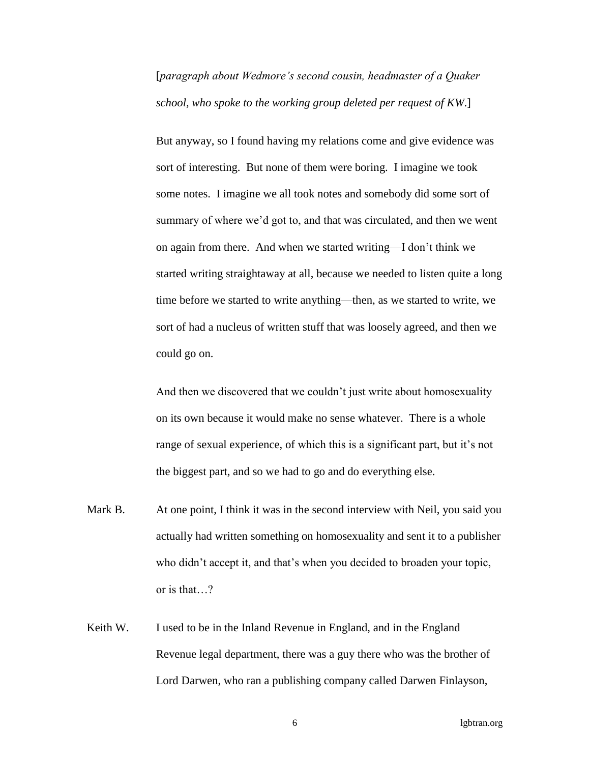[*paragraph about Wedmore's second cousin, headmaster of a Quaker school, who spoke to the working group deleted per request of KW*.]

But anyway, so I found having my relations come and give evidence was sort of interesting. But none of them were boring. I imagine we took some notes. I imagine we all took notes and somebody did some sort of summary of where we'd got to, and that was circulated, and then we went on again from there. And when we started writing—I don't think we started writing straightaway at all, because we needed to listen quite a long time before we started to write anything—then, as we started to write, we sort of had a nucleus of written stuff that was loosely agreed, and then we could go on.

And then we discovered that we couldn't just write about homosexuality on its own because it would make no sense whatever. There is a whole range of sexual experience, of which this is a significant part, but it's not the biggest part, and so we had to go and do everything else.

- Mark B. At one point, I think it was in the second interview with Neil, you said you actually had written something on homosexuality and sent it to a publisher who didn't accept it, and that's when you decided to broaden your topic, or is that…?
- Keith W. I used to be in the Inland Revenue in England, and in the England Revenue legal department, there was a guy there who was the brother of Lord Darwen, who ran a publishing company called Darwen Finlayson,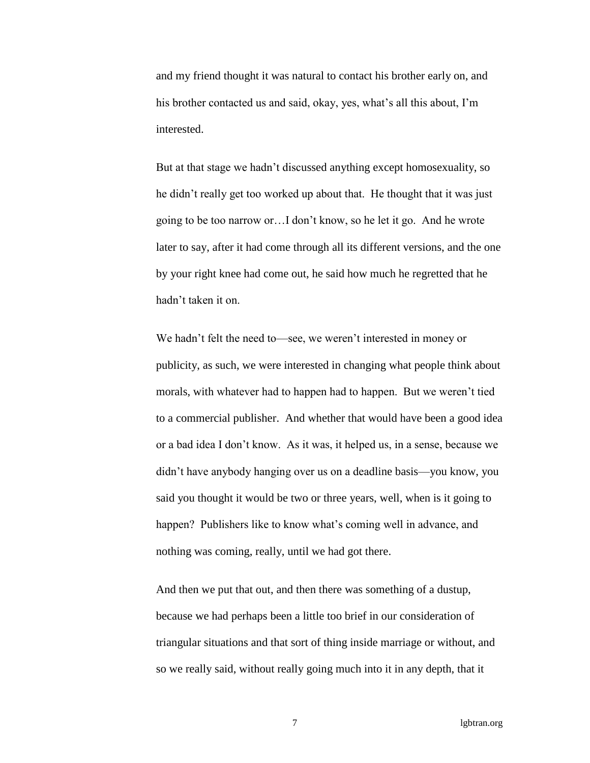and my friend thought it was natural to contact his brother early on, and his brother contacted us and said, okay, yes, what's all this about, I'm interested.

But at that stage we hadn't discussed anything except homosexuality, so he didn't really get too worked up about that. He thought that it was just going to be too narrow or…I don't know, so he let it go. And he wrote later to say, after it had come through all its different versions, and the one by your right knee had come out, he said how much he regretted that he hadn't taken it on.

We hadn't felt the need to—see, we weren't interested in money or publicity, as such, we were interested in changing what people think about morals, with whatever had to happen had to happen. But we weren't tied to a commercial publisher. And whether that would have been a good idea or a bad idea I don't know. As it was, it helped us, in a sense, because we didn't have anybody hanging over us on a deadline basis—you know, you said you thought it would be two or three years, well, when is it going to happen? Publishers like to know what's coming well in advance, and nothing was coming, really, until we had got there.

And then we put that out, and then there was something of a dustup, because we had perhaps been a little too brief in our consideration of triangular situations and that sort of thing inside marriage or without, and so we really said, without really going much into it in any depth, that it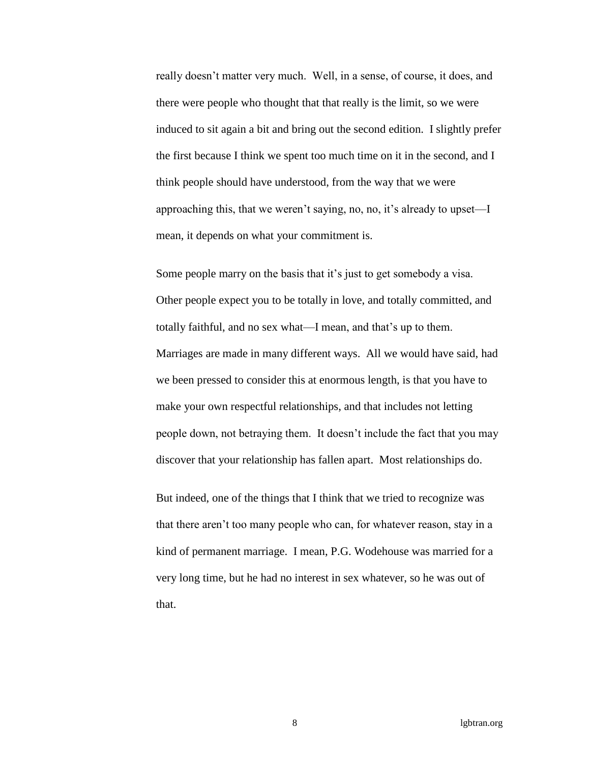really doesn't matter very much. Well, in a sense, of course, it does, and there were people who thought that that really is the limit, so we were induced to sit again a bit and bring out the second edition. I slightly prefer the first because I think we spent too much time on it in the second, and I think people should have understood, from the way that we were approaching this, that we weren't saying, no, no, it's already to upset—I mean, it depends on what your commitment is.

Some people marry on the basis that it's just to get somebody a visa. Other people expect you to be totally in love, and totally committed, and totally faithful, and no sex what—I mean, and that's up to them. Marriages are made in many different ways. All we would have said, had we been pressed to consider this at enormous length, is that you have to make your own respectful relationships, and that includes not letting people down, not betraying them. It doesn't include the fact that you may discover that your relationship has fallen apart. Most relationships do.

But indeed, one of the things that I think that we tried to recognize was that there aren't too many people who can, for whatever reason, stay in a kind of permanent marriage. I mean, P.G. Wodehouse was married for a very long time, but he had no interest in sex whatever, so he was out of that.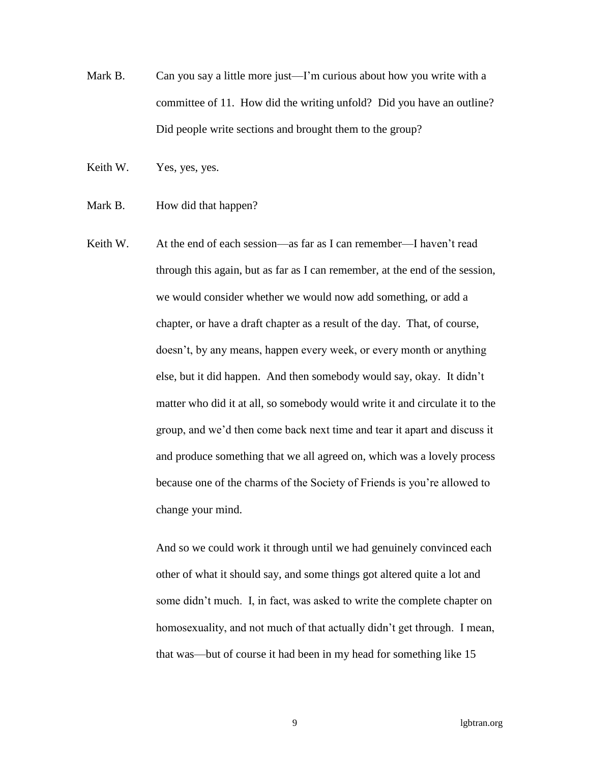Mark B. Can you say a little more just—I'm curious about how you write with a committee of 11. How did the writing unfold? Did you have an outline? Did people write sections and brought them to the group?

Keith W. Yes, yes, yes.

- Mark B. How did that happen?
- Keith W. At the end of each session—as far as I can remember—I haven't read through this again, but as far as I can remember, at the end of the session, we would consider whether we would now add something, or add a chapter, or have a draft chapter as a result of the day. That, of course, doesn't, by any means, happen every week, or every month or anything else, but it did happen. And then somebody would say, okay. It didn't matter who did it at all, so somebody would write it and circulate it to the group, and we'd then come back next time and tear it apart and discuss it and produce something that we all agreed on, which was a lovely process because one of the charms of the Society of Friends is you're allowed to change your mind.

And so we could work it through until we had genuinely convinced each other of what it should say, and some things got altered quite a lot and some didn't much. I, in fact, was asked to write the complete chapter on homosexuality, and not much of that actually didn't get through. I mean, that was—but of course it had been in my head for something like 15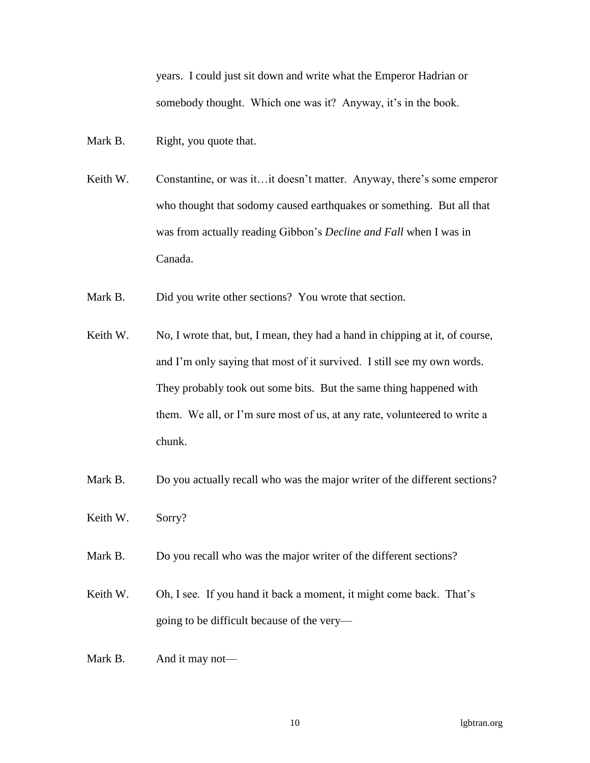years. I could just sit down and write what the Emperor Hadrian or somebody thought. Which one was it? Anyway, it's in the book.

Mark B. Right, you quote that.

- Keith W. Constantine, or was it…it doesn't matter. Anyway, there's some emperor who thought that sodomy caused earthquakes or something. But all that was from actually reading Gibbon's *Decline and Fall* when I was in Canada.
- Mark B. Did you write other sections? You wrote that section.
- Keith W. No, I wrote that, but, I mean, they had a hand in chipping at it, of course, and I'm only saying that most of it survived. I still see my own words. They probably took out some bits. But the same thing happened with them. We all, or I'm sure most of us, at any rate, volunteered to write a chunk.
- Mark B. Do you actually recall who was the major writer of the different sections?
- Keith W. Sorry?
- Mark B. Do you recall who was the major writer of the different sections?
- Keith W. Oh, I see. If you hand it back a moment, it might come back. That's going to be difficult because of the very—
- Mark B. And it may not—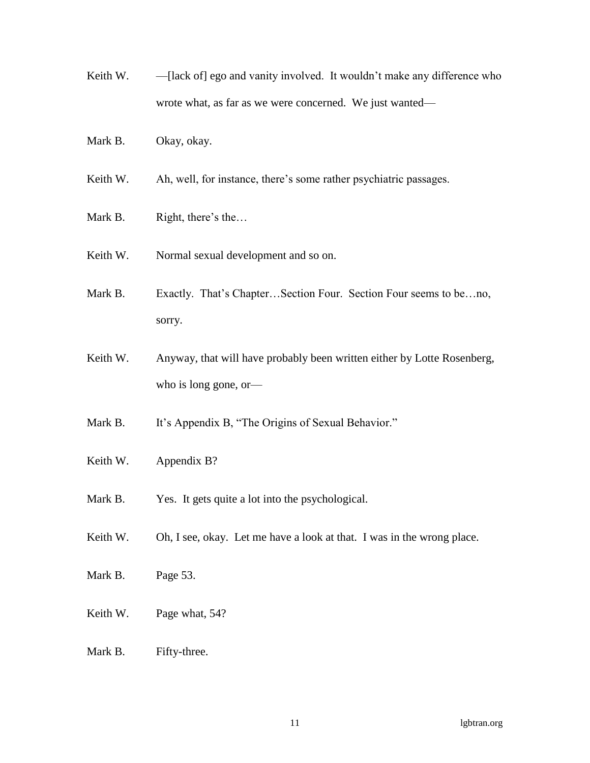- Keith W. [lack of] ego and vanity involved. It wouldn't make any difference who wrote what, as far as we were concerned. We just wanted—
- Mark B. Okay, okay.
- Keith W. Ah, well, for instance, there's some rather psychiatric passages.
- Mark B. Right, there's the...
- Keith W. Normal sexual development and so on.
- Mark B. Exactly. That's Chapter...Section Four. Section Four seems to be...no, sorry.
- Keith W. Anyway, that will have probably been written either by Lotte Rosenberg, who is long gone, or—
- Mark B. It's Appendix B, "The Origins of Sexual Behavior."
- Keith W. Appendix B?
- Mark B. Yes. It gets quite a lot into the psychological.
- Keith W. Oh, I see, okay. Let me have a look at that. I was in the wrong place.
- Mark B. Page 53.
- Keith W. Page what, 54?
- Mark B. Fifty-three.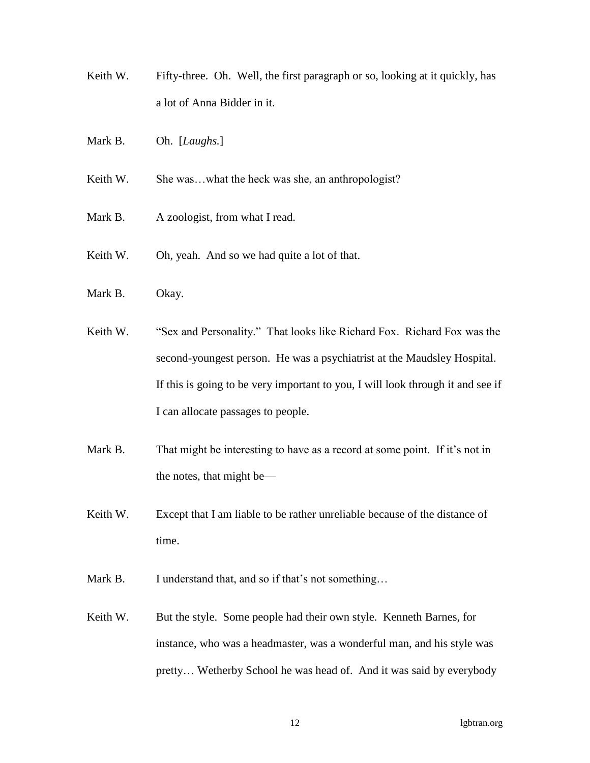- Keith W. Fifty-three. Oh. Well, the first paragraph or so, looking at it quickly, has a lot of Anna Bidder in it.
- Mark B. Oh. [*Laughs.*]

Keith W. She was...what the heck was she, an anthropologist?

- Mark B. A zoologist, from what I read.
- Keith W. Oh, yeah. And so we had quite a lot of that.
- Mark B. Okay.
- Keith W. "Sex and Personality." That looks like Richard Fox. Richard Fox was the second-youngest person. He was a psychiatrist at the Maudsley Hospital. If this is going to be very important to you, I will look through it and see if I can allocate passages to people.
- Mark B. That might be interesting to have as a record at some point. If it's not in the notes, that might be—
- Keith W. Except that I am liable to be rather unreliable because of the distance of time.
- Mark B. I understand that, and so if that's not something...
- Keith W. But the style. Some people had their own style. Kenneth Barnes, for instance, who was a headmaster, was a wonderful man, and his style was pretty… Wetherby School he was head of. And it was said by everybody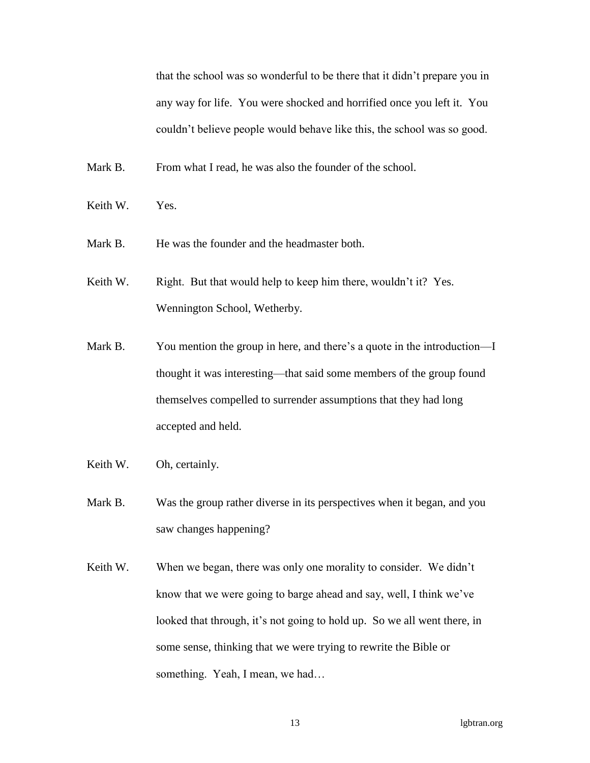that the school was so wonderful to be there that it didn't prepare you in any way for life. You were shocked and horrified once you left it. You couldn't believe people would behave like this, the school was so good.

Mark B. From what I read, he was also the founder of the school.

- Keith W. Yes.
- Mark B. He was the founder and the headmaster both.
- Keith W. Right. But that would help to keep him there, wouldn't it? Yes. Wennington School, Wetherby.
- Mark B. You mention the group in here, and there's a quote in the introduction—I thought it was interesting—that said some members of the group found themselves compelled to surrender assumptions that they had long accepted and held.
- Keith W. Oh, certainly.
- Mark B. Was the group rather diverse in its perspectives when it began, and you saw changes happening?
- Keith W. When we began, there was only one morality to consider. We didn't know that we were going to barge ahead and say, well, I think we've looked that through, it's not going to hold up. So we all went there, in some sense, thinking that we were trying to rewrite the Bible or something. Yeah, I mean, we had...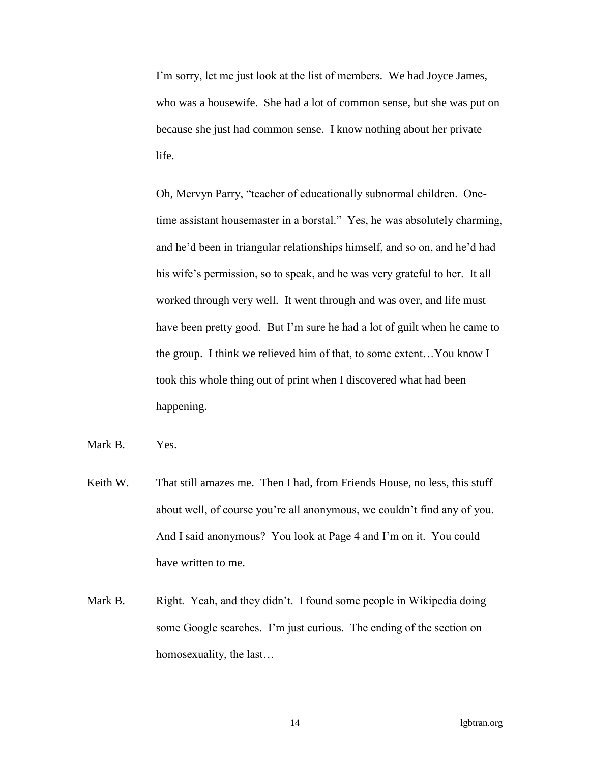I'm sorry, let me just look at the list of members. We had Joyce James, who was a housewife. She had a lot of common sense, but she was put on because she just had common sense. I know nothing about her private life.

Oh, Mervyn Parry, "teacher of educationally subnormal children. Onetime assistant housemaster in a borstal." Yes, he was absolutely charming, and he'd been in triangular relationships himself, and so on, and he'd had his wife's permission, so to speak, and he was very grateful to her. It all worked through very well. It went through and was over, and life must have been pretty good. But I'm sure he had a lot of guilt when he came to the group. I think we relieved him of that, to some extent…You know I took this whole thing out of print when I discovered what had been happening.

Mark B. Yes.

- Keith W. That still amazes me. Then I had, from Friends House, no less, this stuff about well, of course you're all anonymous, we couldn't find any of you. And I said anonymous? You look at Page 4 and I'm on it. You could have written to me.
- Mark B. Right. Yeah, and they didn't. I found some people in Wikipedia doing some Google searches. I'm just curious. The ending of the section on homosexuality, the last…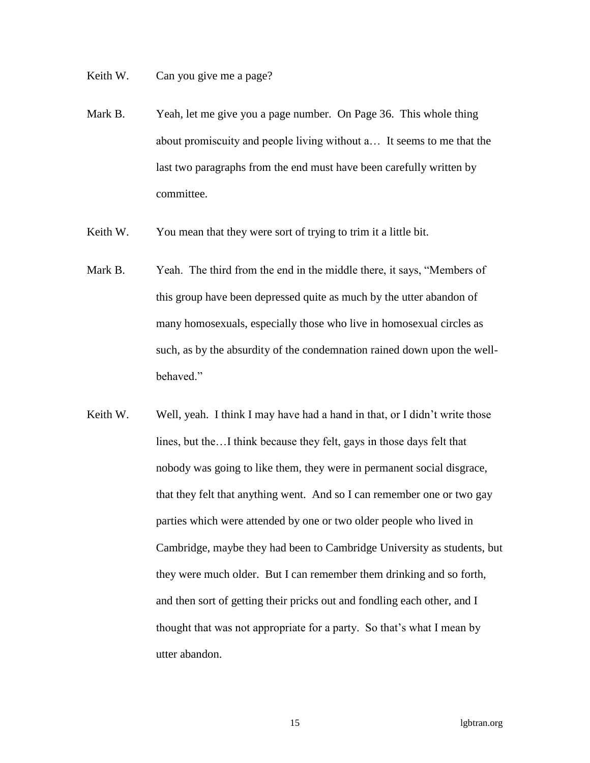Keith W. Can you give me a page?

- Mark B. Yeah, let me give you a page number. On Page 36. This whole thing about promiscuity and people living without a… It seems to me that the last two paragraphs from the end must have been carefully written by committee.
- Keith W. You mean that they were sort of trying to trim it a little bit.
- Mark B. Yeah. The third from the end in the middle there, it says, "Members of this group have been depressed quite as much by the utter abandon of many homosexuals, especially those who live in homosexual circles as such, as by the absurdity of the condemnation rained down upon the wellbehaved."
- Keith W. Well, yeah. I think I may have had a hand in that, or I didn't write those lines, but the…I think because they felt, gays in those days felt that nobody was going to like them, they were in permanent social disgrace, that they felt that anything went. And so I can remember one or two gay parties which were attended by one or two older people who lived in Cambridge, maybe they had been to Cambridge University as students, but they were much older. But I can remember them drinking and so forth, and then sort of getting their pricks out and fondling each other, and I thought that was not appropriate for a party. So that's what I mean by utter abandon.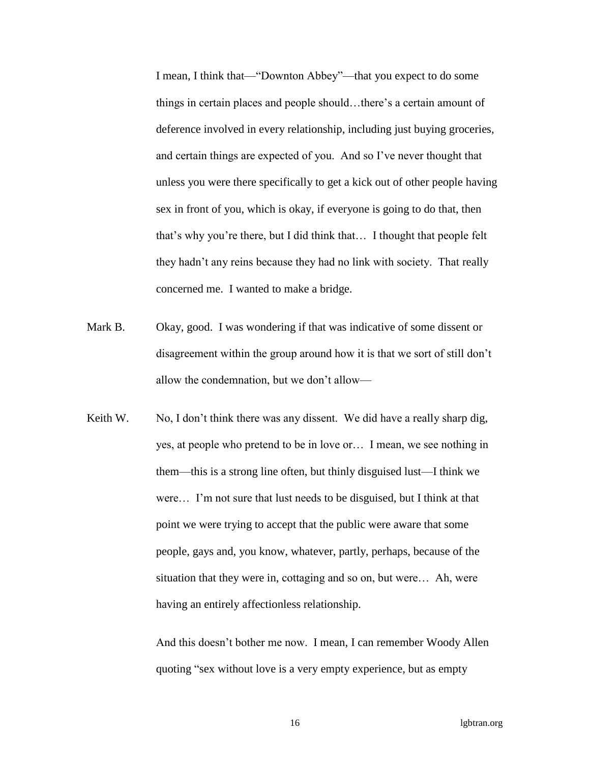I mean, I think that—"Downton Abbey"—that you expect to do some things in certain places and people should…there's a certain amount of deference involved in every relationship, including just buying groceries, and certain things are expected of you. And so I've never thought that unless you were there specifically to get a kick out of other people having sex in front of you, which is okay, if everyone is going to do that, then that's why you're there, but I did think that… I thought that people felt they hadn't any reins because they had no link with society. That really concerned me. I wanted to make a bridge.

- Mark B. Okay, good. I was wondering if that was indicative of some dissent or disagreement within the group around how it is that we sort of still don't allow the condemnation, but we don't allow—
- Keith W. No, I don't think there was any dissent. We did have a really sharp dig, yes, at people who pretend to be in love or… I mean, we see nothing in them—this is a strong line often, but thinly disguised lust—I think we were… I'm not sure that lust needs to be disguised, but I think at that point we were trying to accept that the public were aware that some people, gays and, you know, whatever, partly, perhaps, because of the situation that they were in, cottaging and so on, but were… Ah, were having an entirely affectionless relationship.

And this doesn't bother me now. I mean, I can remember Woody Allen quoting "sex without love is a very empty experience, but as empty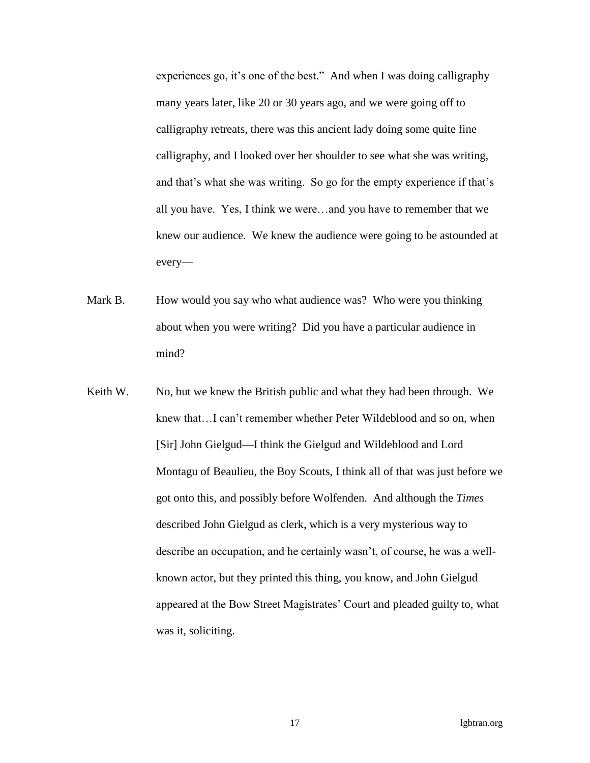experiences go, it's one of the best." And when I was doing calligraphy many years later, like 20 or 30 years ago, and we were going off to calligraphy retreats, there was this ancient lady doing some quite fine calligraphy, and I looked over her shoulder to see what she was writing, and that's what she was writing. So go for the empty experience if that's all you have. Yes, I think we were…and you have to remember that we knew our audience. We knew the audience were going to be astounded at every—

- Mark B. How would you say who what audience was? Who were you thinking about when you were writing? Did you have a particular audience in mind?
- Keith W. No, but we knew the British public and what they had been through. We knew that…I can't remember whether Peter Wildeblood and so on, when [Sir] John Gielgud—I think the Gielgud and Wildeblood and Lord Montagu of Beaulieu, the Boy Scouts, I think all of that was just before we got onto this, and possibly before Wolfenden. And although the *Times* described John Gielgud as clerk, which is a very mysterious way to describe an occupation, and he certainly wasn't, of course, he was a wellknown actor, but they printed this thing, you know, and John Gielgud appeared at the Bow Street Magistrates' Court and pleaded guilty to, what was it, soliciting.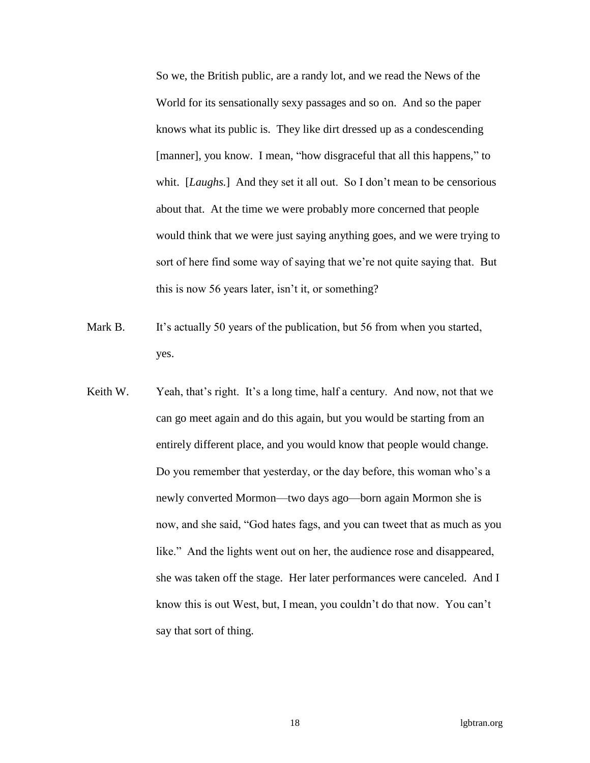So we, the British public, are a randy lot, and we read the News of the World for its sensationally sexy passages and so on. And so the paper knows what its public is. They like dirt dressed up as a condescending [manner], you know. I mean, "how disgraceful that all this happens," to whit. [*Laughs*.] And they set it all out. So I don't mean to be censorious about that. At the time we were probably more concerned that people would think that we were just saying anything goes, and we were trying to sort of here find some way of saying that we're not quite saying that. But this is now 56 years later, isn't it, or something?

- Mark B. It's actually 50 years of the publication, but 56 from when you started, yes.
- Keith W. Yeah, that's right. It's a long time, half a century. And now, not that we can go meet again and do this again, but you would be starting from an entirely different place, and you would know that people would change. Do you remember that yesterday, or the day before, this woman who's a newly converted Mormon—two days ago—born again Mormon she is now, and she said, "God hates fags, and you can tweet that as much as you like." And the lights went out on her, the audience rose and disappeared, she was taken off the stage. Her later performances were canceled. And I know this is out West, but, I mean, you couldn't do that now. You can't say that sort of thing.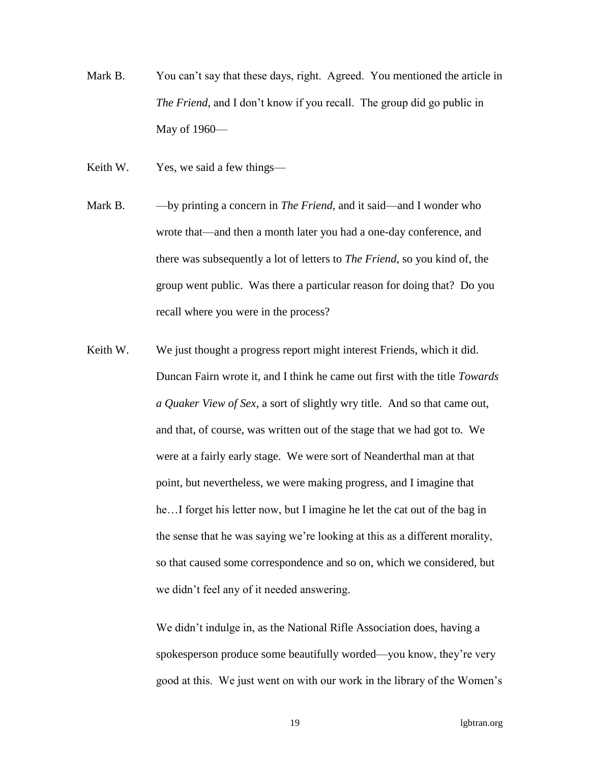- Mark B. You can't say that these days, right. Agreed. You mentioned the article in *The Friend*, and I don't know if you recall. The group did go public in May of 1960—
- Keith W. Yes, we said a few things—
- Mark B. by printing a concern in *The Friend*, and it said—and I wonder who wrote that—and then a month later you had a one-day conference, and there was subsequently a lot of letters to *The Friend*, so you kind of, the group went public. Was there a particular reason for doing that? Do you recall where you were in the process?
- Keith W. We just thought a progress report might interest Friends, which it did. Duncan Fairn wrote it, and I think he came out first with the title *Towards a Quaker View of Sex*, a sort of slightly wry title. And so that came out, and that, of course, was written out of the stage that we had got to. We were at a fairly early stage. We were sort of Neanderthal man at that point, but nevertheless, we were making progress, and I imagine that he…I forget his letter now, but I imagine he let the cat out of the bag in the sense that he was saying we're looking at this as a different morality, so that caused some correspondence and so on, which we considered, but we didn't feel any of it needed answering.

We didn't indulge in, as the National Rifle Association does, having a spokesperson produce some beautifully worded—you know, they're very good at this. We just went on with our work in the library of the Women's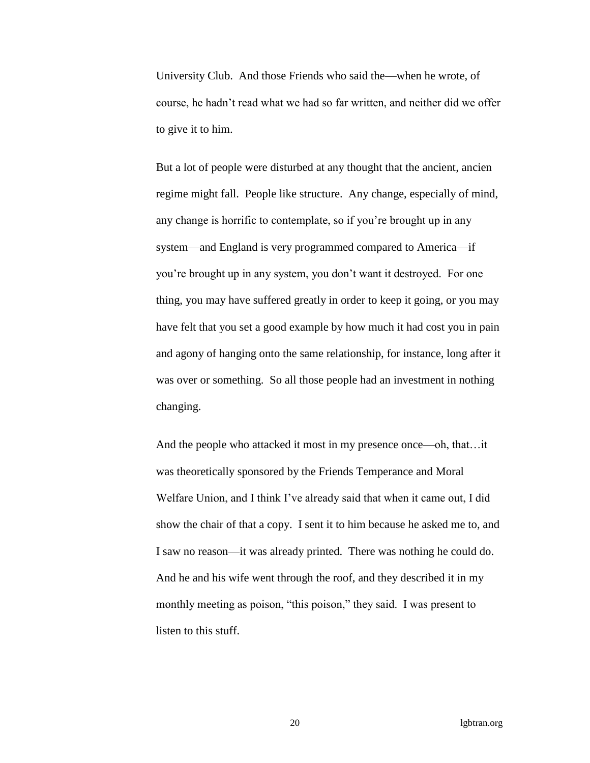University Club. And those Friends who said the—when he wrote, of course, he hadn't read what we had so far written, and neither did we offer to give it to him.

But a lot of people were disturbed at any thought that the ancient, ancien regime might fall. People like structure. Any change, especially of mind, any change is horrific to contemplate, so if you're brought up in any system—and England is very programmed compared to America—if you're brought up in any system, you don't want it destroyed. For one thing, you may have suffered greatly in order to keep it going, or you may have felt that you set a good example by how much it had cost you in pain and agony of hanging onto the same relationship, for instance, long after it was over or something. So all those people had an investment in nothing changing.

And the people who attacked it most in my presence once—oh, that…it was theoretically sponsored by the Friends Temperance and Moral Welfare Union, and I think I've already said that when it came out, I did show the chair of that a copy. I sent it to him because he asked me to, and I saw no reason—it was already printed. There was nothing he could do. And he and his wife went through the roof, and they described it in my monthly meeting as poison, "this poison," they said. I was present to listen to this stuff.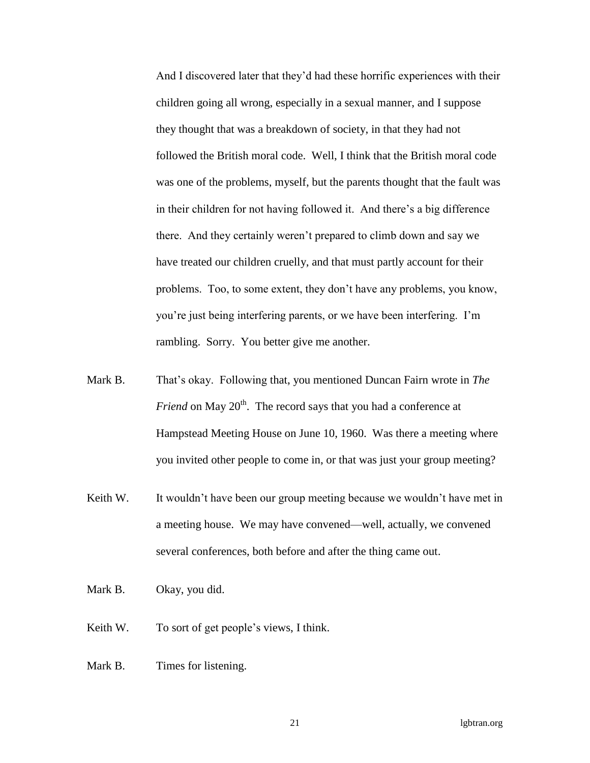And I discovered later that they'd had these horrific experiences with their children going all wrong, especially in a sexual manner, and I suppose they thought that was a breakdown of society, in that they had not followed the British moral code. Well, I think that the British moral code was one of the problems, myself, but the parents thought that the fault was in their children for not having followed it. And there's a big difference there. And they certainly weren't prepared to climb down and say we have treated our children cruelly, and that must partly account for their problems. Too, to some extent, they don't have any problems, you know, you're just being interfering parents, or we have been interfering. I'm rambling. Sorry. You better give me another.

- Mark B. That's okay. Following that, you mentioned Duncan Fairn wrote in *The Friend* on May 20<sup>th</sup>. The record says that you had a conference at Hampstead Meeting House on June 10, 1960. Was there a meeting where you invited other people to come in, or that was just your group meeting?
- Keith W. It wouldn't have been our group meeting because we wouldn't have met in a meeting house. We may have convened—well, actually, we convened several conferences, both before and after the thing came out.
- Mark B. Okay, you did.
- Keith W. To sort of get people's views, I think.
- Mark B. Times for listening.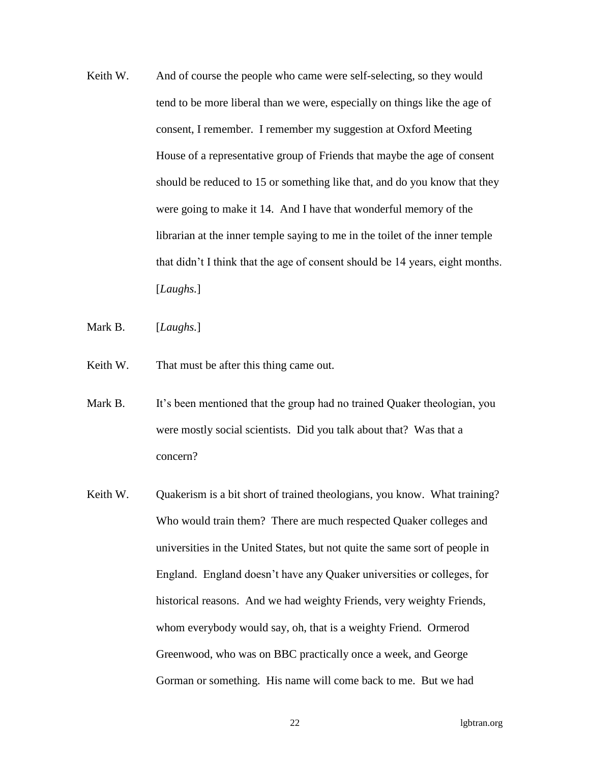- Keith W. And of course the people who came were self-selecting, so they would tend to be more liberal than we were, especially on things like the age of consent, I remember. I remember my suggestion at Oxford Meeting House of a representative group of Friends that maybe the age of consent should be reduced to 15 or something like that, and do you know that they were going to make it 14. And I have that wonderful memory of the librarian at the inner temple saying to me in the toilet of the inner temple that didn't I think that the age of consent should be 14 years, eight months. [*Laughs.*]
- Mark B. [*Laughs.*]
- Keith W. That must be after this thing came out.
- Mark B. It's been mentioned that the group had no trained Quaker theologian, you were mostly social scientists. Did you talk about that? Was that a concern?
- Keith W. Quakerism is a bit short of trained theologians, you know. What training? Who would train them? There are much respected Quaker colleges and universities in the United States, but not quite the same sort of people in England. England doesn't have any Quaker universities or colleges, for historical reasons. And we had weighty Friends, very weighty Friends, whom everybody would say, oh, that is a weighty Friend. Ormerod Greenwood, who was on BBC practically once a week, and George Gorman or something. His name will come back to me. But we had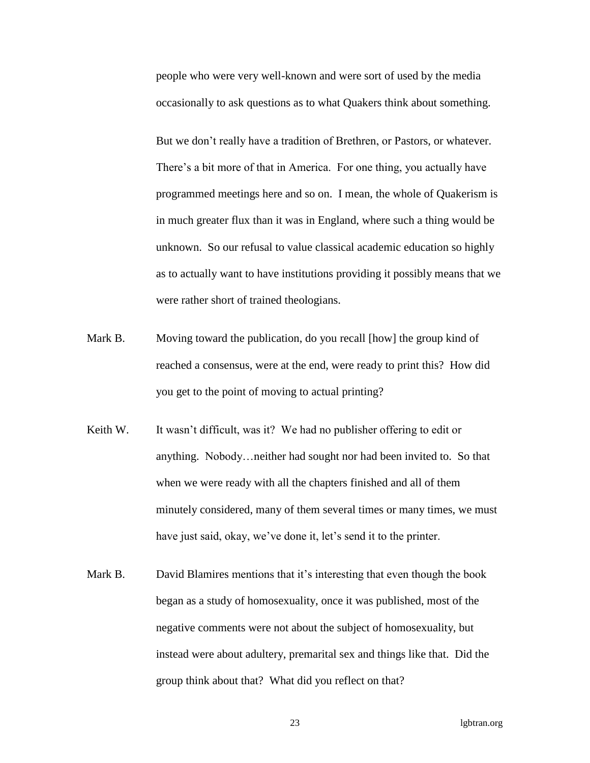people who were very well-known and were sort of used by the media occasionally to ask questions as to what Quakers think about something.

But we don't really have a tradition of Brethren, or Pastors, or whatever. There's a bit more of that in America. For one thing, you actually have programmed meetings here and so on. I mean, the whole of Quakerism is in much greater flux than it was in England, where such a thing would be unknown. So our refusal to value classical academic education so highly as to actually want to have institutions providing it possibly means that we were rather short of trained theologians.

- Mark B. Moving toward the publication, do you recall [how] the group kind of reached a consensus, were at the end, were ready to print this? How did you get to the point of moving to actual printing?
- Keith W. It wasn't difficult, was it? We had no publisher offering to edit or anything. Nobody…neither had sought nor had been invited to. So that when we were ready with all the chapters finished and all of them minutely considered, many of them several times or many times, we must have just said, okay, we've done it, let's send it to the printer.
- Mark B. David Blamires mentions that it's interesting that even though the book began as a study of homosexuality, once it was published, most of the negative comments were not about the subject of homosexuality, but instead were about adultery, premarital sex and things like that. Did the group think about that? What did you reflect on that?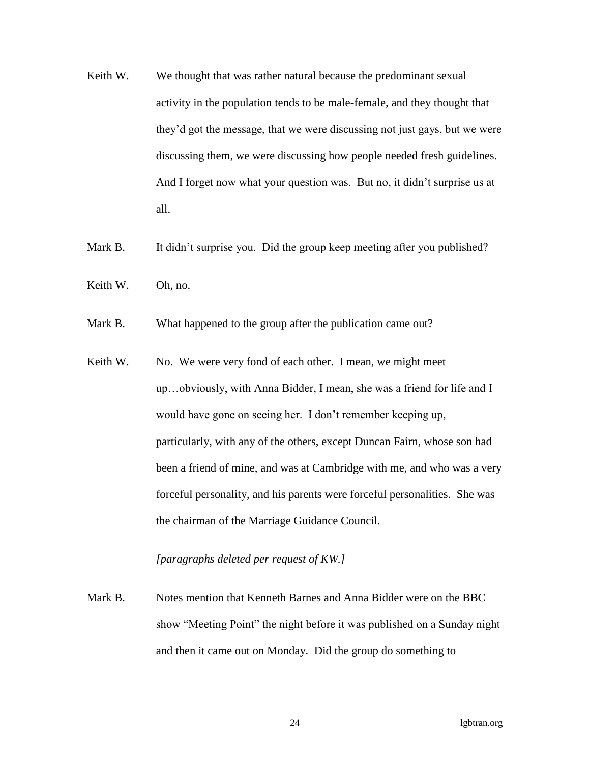- Keith W. We thought that was rather natural because the predominant sexual activity in the population tends to be male-female, and they thought that they'd got the message, that we were discussing not just gays, but we were discussing them, we were discussing how people needed fresh guidelines. And I forget now what your question was. But no, it didn't surprise us at all.
- Mark B. It didn't surprise you. Did the group keep meeting after you published?
- Keith W. Oh, no.
- Mark B. What happened to the group after the publication came out?
- Keith W. No. We were very fond of each other. I mean, we might meet up…obviously, with Anna Bidder, I mean, she was a friend for life and I would have gone on seeing her. I don't remember keeping up, particularly, with any of the others, except Duncan Fairn, whose son had been a friend of mine, and was at Cambridge with me, and who was a very forceful personality, and his parents were forceful personalities. She was the chairman of the Marriage Guidance Council.

## *[paragraphs deleted per request of KW.]*

Mark B. Notes mention that Kenneth Barnes and Anna Bidder were on the BBC show "Meeting Point" the night before it was published on a Sunday night and then it came out on Monday. Did the group do something to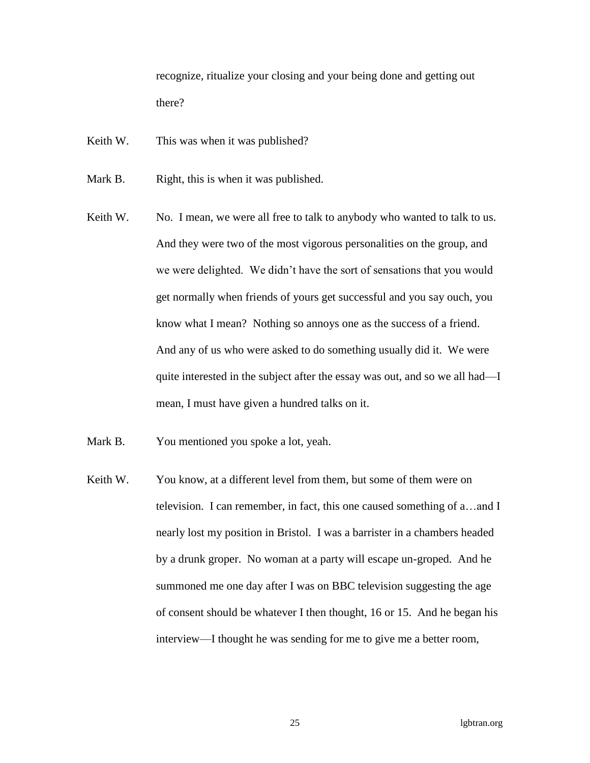recognize, ritualize your closing and your being done and getting out there?

- Keith W. This was when it was published?
- Mark B. Right, this is when it was published.
- Keith W. No. I mean, we were all free to talk to anybody who wanted to talk to us. And they were two of the most vigorous personalities on the group, and we were delighted. We didn't have the sort of sensations that you would get normally when friends of yours get successful and you say ouch, you know what I mean? Nothing so annoys one as the success of a friend. And any of us who were asked to do something usually did it. We were quite interested in the subject after the essay was out, and so we all had—I mean, I must have given a hundred talks on it.
- Mark B. You mentioned you spoke a lot, yeah.
- Keith W. You know, at a different level from them, but some of them were on television. I can remember, in fact, this one caused something of a…and I nearly lost my position in Bristol. I was a barrister in a chambers headed by a drunk groper. No woman at a party will escape un-groped. And he summoned me one day after I was on BBC television suggesting the age of consent should be whatever I then thought, 16 or 15. And he began his interview—I thought he was sending for me to give me a better room,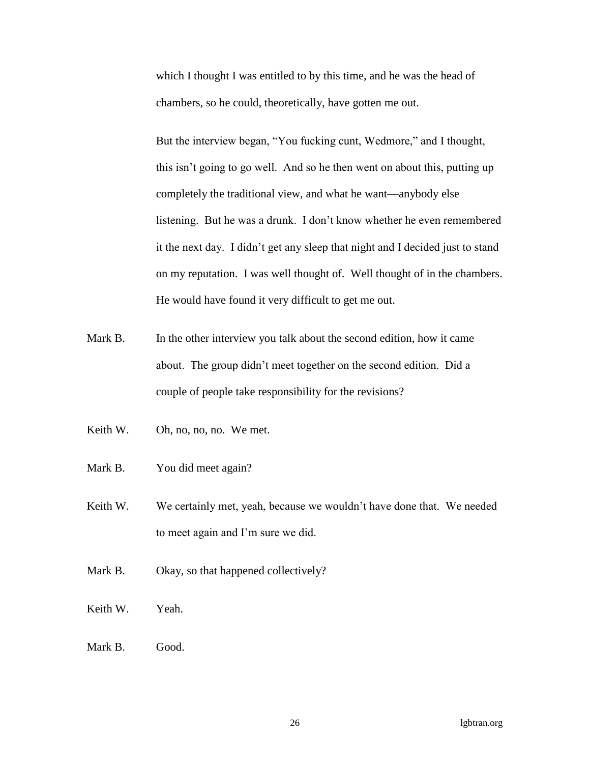which I thought I was entitled to by this time, and he was the head of chambers, so he could, theoretically, have gotten me out.

But the interview began, "You fucking cunt, Wedmore," and I thought, this isn't going to go well. And so he then went on about this, putting up completely the traditional view, and what he want—anybody else listening. But he was a drunk. I don't know whether he even remembered it the next day. I didn't get any sleep that night and I decided just to stand on my reputation. I was well thought of. Well thought of in the chambers. He would have found it very difficult to get me out.

- Mark B. In the other interview you talk about the second edition, how it came about. The group didn't meet together on the second edition. Did a couple of people take responsibility for the revisions?
- Keith W. Oh, no, no, no. We met.
- Mark B. You did meet again?
- Keith W. We certainly met, yeah, because we wouldn't have done that. We needed to meet again and I'm sure we did.
- Mark B. Okay, so that happened collectively?
- Keith W. Yeah.
- Mark B. Good.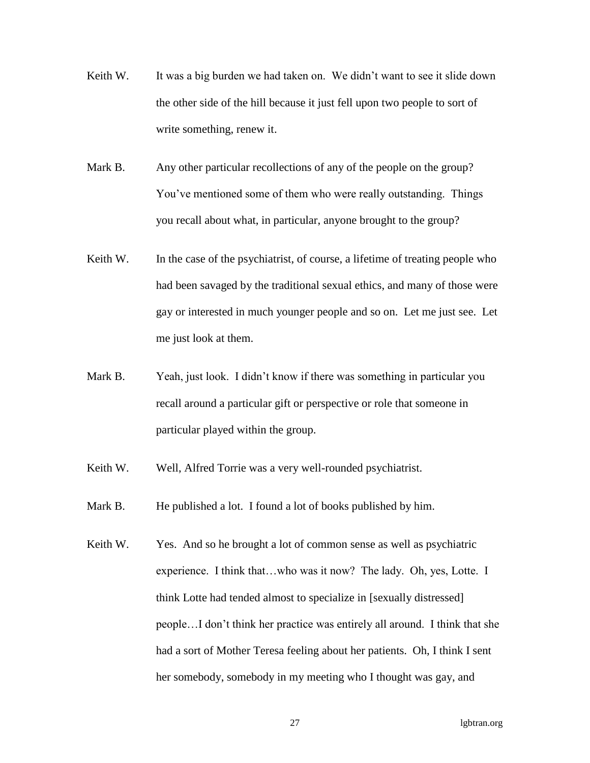- Keith W. It was a big burden we had taken on. We didn't want to see it slide down the other side of the hill because it just fell upon two people to sort of write something, renew it.
- Mark B. Any other particular recollections of any of the people on the group? You've mentioned some of them who were really outstanding. Things you recall about what, in particular, anyone brought to the group?
- Keith W. In the case of the psychiatrist, of course, a lifetime of treating people who had been savaged by the traditional sexual ethics, and many of those were gay or interested in much younger people and so on. Let me just see. Let me just look at them.
- Mark B. Yeah, just look. I didn't know if there was something in particular you recall around a particular gift or perspective or role that someone in particular played within the group.
- Keith W. Well, Alfred Torrie was a very well-rounded psychiatrist.
- Mark B. He published a lot. I found a lot of books published by him.
- Keith W. Yes. And so he brought a lot of common sense as well as psychiatric experience. I think that…who was it now? The lady. Oh, yes, Lotte. I think Lotte had tended almost to specialize in [sexually distressed] people…I don't think her practice was entirely all around. I think that she had a sort of Mother Teresa feeling about her patients. Oh, I think I sent her somebody, somebody in my meeting who I thought was gay, and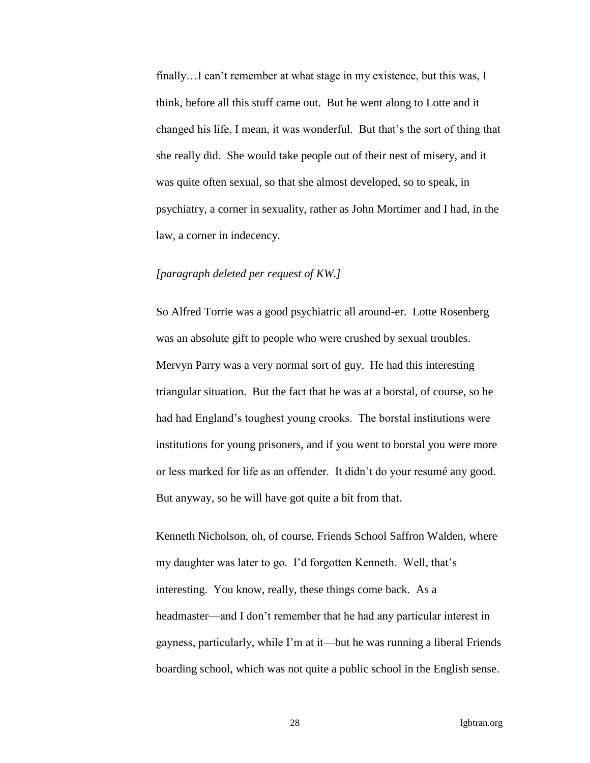finally…I can't remember at what stage in my existence, but this was, I think, before all this stuff came out. But he went along to Lotte and it changed his life, I mean, it was wonderful. But that's the sort of thing that she really did. She would take people out of their nest of misery, and it was quite often sexual, so that she almost developed, so to speak, in psychiatry, a corner in sexuality, rather as John Mortimer and I had, in the law, a corner in indecency.

## *[paragraph deleted per request of KW.]*

So Alfred Torrie was a good psychiatric all around-er. Lotte Rosenberg was an absolute gift to people who were crushed by sexual troubles. Mervyn Parry was a very normal sort of guy. He had this interesting triangular situation. But the fact that he was at a borstal, of course, so he had had England's toughest young crooks. The borstal institutions were institutions for young prisoners, and if you went to borstal you were more or less marked for life as an offender. It didn't do your resumé any good. But anyway, so he will have got quite a bit from that.

Kenneth Nicholson, oh, of course, Friends School Saffron Walden, where my daughter was later to go. I'd forgotten Kenneth. Well, that's interesting. You know, really, these things come back. As a headmaster—and I don't remember that he had any particular interest in gayness, particularly, while I'm at it—but he was running a liberal Friends boarding school, which was not quite a public school in the English sense.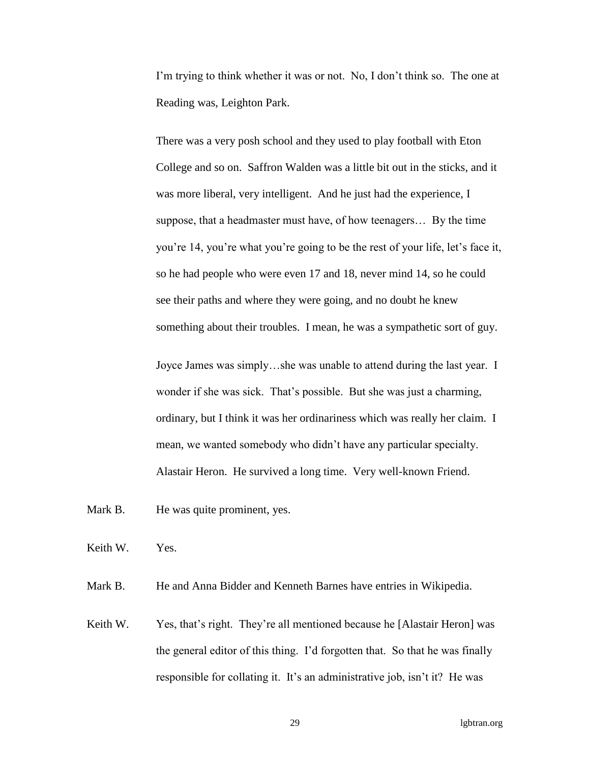I'm trying to think whether it was or not. No, I don't think so. The one at Reading was, Leighton Park.

There was a very posh school and they used to play football with Eton College and so on. Saffron Walden was a little bit out in the sticks, and it was more liberal, very intelligent. And he just had the experience, I suppose, that a headmaster must have, of how teenagers… By the time you're 14, you're what you're going to be the rest of your life, let's face it, so he had people who were even 17 and 18, never mind 14, so he could see their paths and where they were going, and no doubt he knew something about their troubles. I mean, he was a sympathetic sort of guy.

Joyce James was simply…she was unable to attend during the last year. I wonder if she was sick. That's possible. But she was just a charming, ordinary, but I think it was her ordinariness which was really her claim. I mean, we wanted somebody who didn't have any particular specialty. Alastair Heron. He survived a long time. Very well-known Friend.

Mark B. He was quite prominent, yes.

Keith W. Yes.

Mark B. He and Anna Bidder and Kenneth Barnes have entries in Wikipedia.

Keith W. Yes, that's right. They're all mentioned because he [Alastair Heron] was the general editor of this thing. I'd forgotten that. So that he was finally responsible for collating it. It's an administrative job, isn't it? He was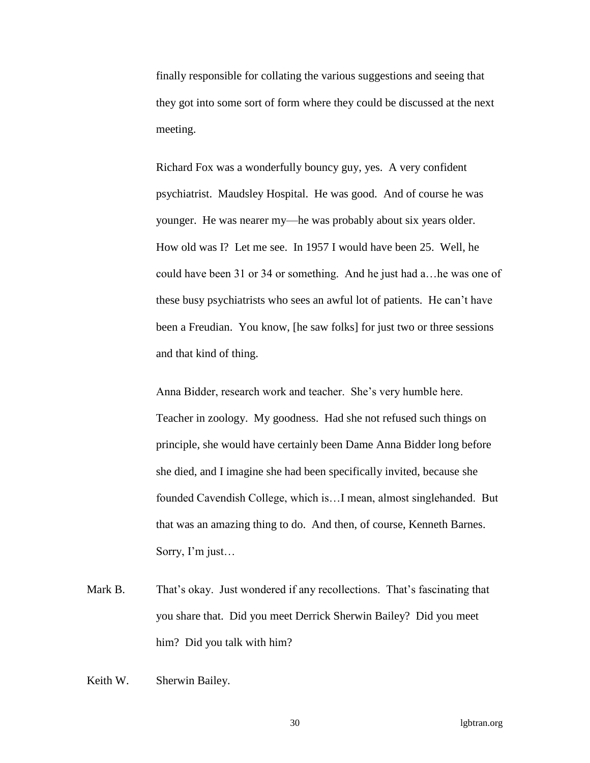finally responsible for collating the various suggestions and seeing that they got into some sort of form where they could be discussed at the next meeting.

Richard Fox was a wonderfully bouncy guy, yes. A very confident psychiatrist. Maudsley Hospital. He was good. And of course he was younger. He was nearer my—he was probably about six years older. How old was I? Let me see. In 1957 I would have been 25. Well, he could have been 31 or 34 or something. And he just had a…he was one of these busy psychiatrists who sees an awful lot of patients. He can't have been a Freudian. You know, [he saw folks] for just two or three sessions and that kind of thing.

Anna Bidder, research work and teacher. She's very humble here. Teacher in zoology. My goodness. Had she not refused such things on principle, she would have certainly been Dame Anna Bidder long before she died, and I imagine she had been specifically invited, because she founded Cavendish College, which is…I mean, almost singlehanded. But that was an amazing thing to do. And then, of course, Kenneth Barnes. Sorry, I'm just…

- Mark B. That's okay. Just wondered if any recollections. That's fascinating that you share that. Did you meet Derrick Sherwin Bailey? Did you meet him? Did you talk with him?
- Keith W. Sherwin Bailey.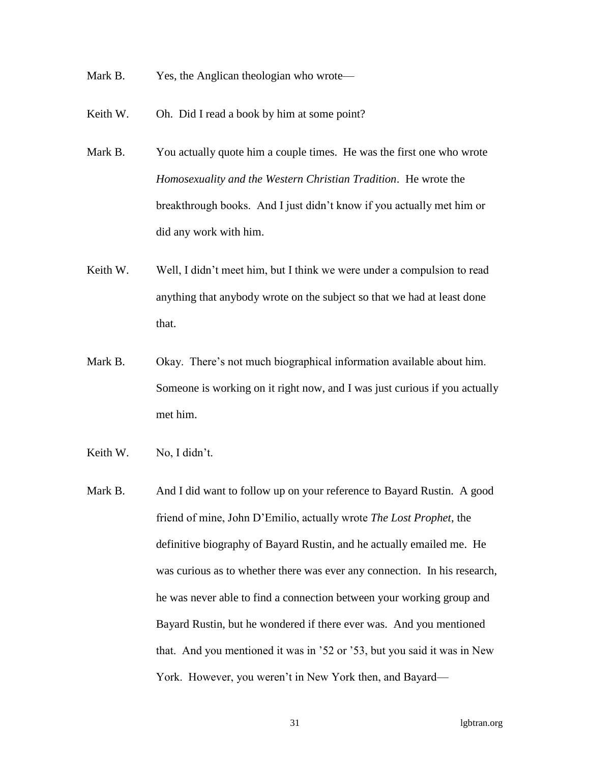Mark B. Yes, the Anglican theologian who wrote—

Keith W. Oh. Did I read a book by him at some point?

- Mark B. You actually quote him a couple times. He was the first one who wrote *Homosexuality and the Western Christian Tradition*. He wrote the breakthrough books. And I just didn't know if you actually met him or did any work with him.
- Keith W. Well, I didn't meet him, but I think we were under a compulsion to read anything that anybody wrote on the subject so that we had at least done that.
- Mark B. Okay. There's not much biographical information available about him. Someone is working on it right now, and I was just curious if you actually met him.
- Keith W. No, I didn't.
- Mark B. And I did want to follow up on your reference to Bayard Rustin. A good friend of mine, John D'Emilio, actually wrote *The Lost Prophet*, the definitive biography of Bayard Rustin, and he actually emailed me. He was curious as to whether there was ever any connection. In his research, he was never able to find a connection between your working group and Bayard Rustin, but he wondered if there ever was. And you mentioned that. And you mentioned it was in '52 or '53, but you said it was in New York. However, you weren't in New York then, and Bayard—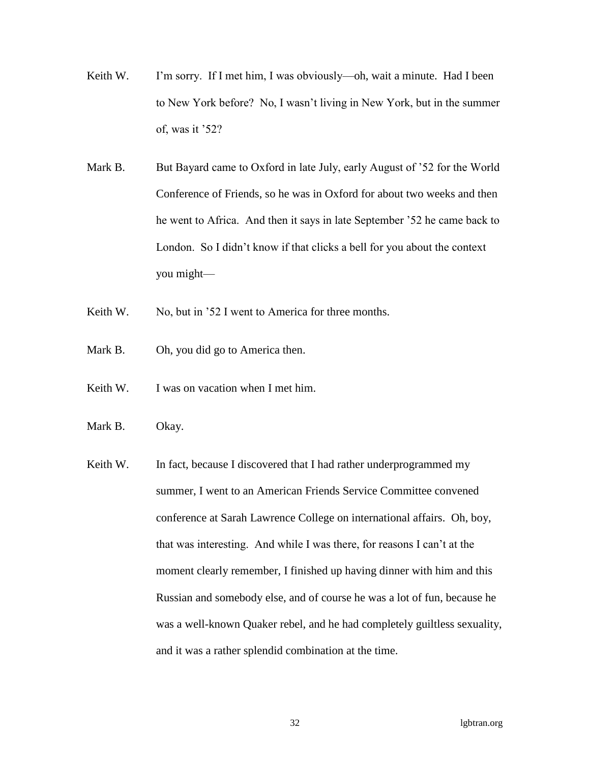- Keith W. I'm sorry. If I met him, I was obviously—oh, wait a minute. Had I been to New York before? No, I wasn't living in New York, but in the summer of, was it '52?
- Mark B. But Bayard came to Oxford in late July, early August of '52 for the World Conference of Friends, so he was in Oxford for about two weeks and then he went to Africa. And then it says in late September '52 he came back to London. So I didn't know if that clicks a bell for you about the context you might—
- Keith W. No, but in '52 I went to America for three months.
- Mark B. Oh, you did go to America then.
- Keith W. I was on vacation when I met him.
- Mark B. Okay.
- Keith W. In fact, because I discovered that I had rather underprogrammed my summer, I went to an American Friends Service Committee convened conference at Sarah Lawrence College on international affairs. Oh, boy, that was interesting. And while I was there, for reasons I can't at the moment clearly remember, I finished up having dinner with him and this Russian and somebody else, and of course he was a lot of fun, because he was a well-known Quaker rebel, and he had completely guiltless sexuality, and it was a rather splendid combination at the time.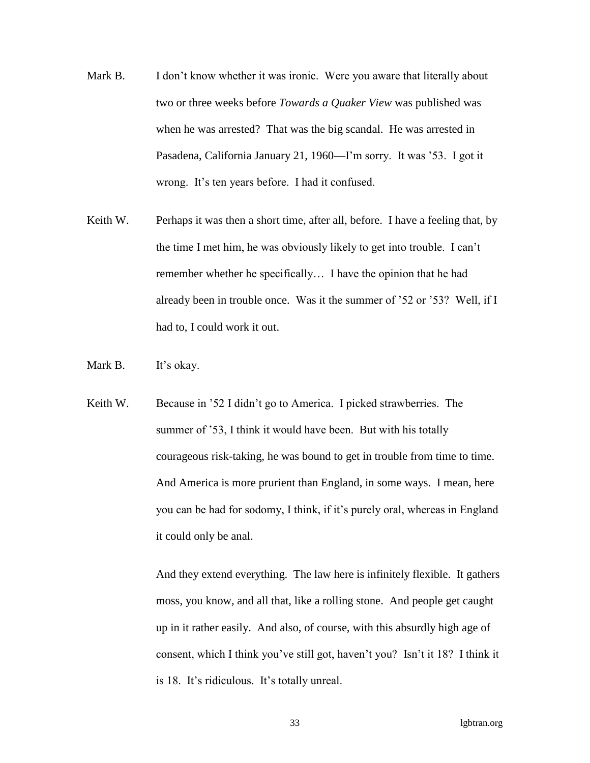- Mark B. I don't know whether it was ironic. Were you aware that literally about two or three weeks before *Towards a Quaker View* was published was when he was arrested? That was the big scandal. He was arrested in Pasadena, California January 21, 1960—I'm sorry. It was '53. I got it wrong. It's ten years before. I had it confused.
- Keith W. Perhaps it was then a short time, after all, before. I have a feeling that, by the time I met him, he was obviously likely to get into trouble. I can't remember whether he specifically… I have the opinion that he had already been in trouble once. Was it the summer of '52 or '53? Well, if I had to, I could work it out.
- Mark B. It's okay.
- Keith W. Because in '52 I didn't go to America. I picked strawberries. The summer of '53, I think it would have been. But with his totally courageous risk-taking, he was bound to get in trouble from time to time. And America is more prurient than England, in some ways. I mean, here you can be had for sodomy, I think, if it's purely oral, whereas in England it could only be anal.

And they extend everything. The law here is infinitely flexible. It gathers moss, you know, and all that, like a rolling stone. And people get caught up in it rather easily. And also, of course, with this absurdly high age of consent, which I think you've still got, haven't you? Isn't it 18? I think it is 18. It's ridiculous. It's totally unreal.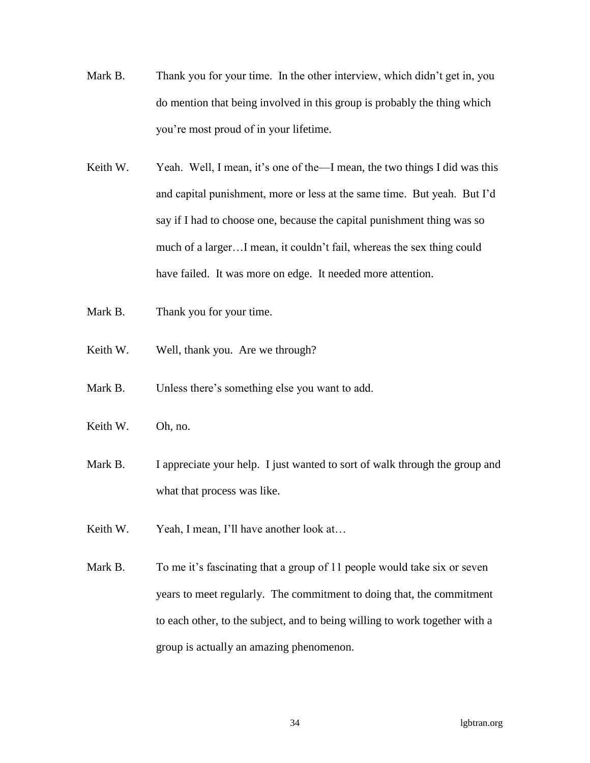- Mark B. Thank you for your time. In the other interview, which didn't get in, you do mention that being involved in this group is probably the thing which you're most proud of in your lifetime.
- Keith W. Yeah. Well, I mean, it's one of the—I mean, the two things I did was this and capital punishment, more or less at the same time. But yeah. But I'd say if I had to choose one, because the capital punishment thing was so much of a larger…I mean, it couldn't fail, whereas the sex thing could have failed. It was more on edge. It needed more attention.
- Mark B. Thank you for your time.
- Keith W. Well, thank you. Are we through?
- Mark B. Unless there's something else you want to add.
- Keith W. Oh, no.
- Mark B. I appreciate your help. I just wanted to sort of walk through the group and what that process was like.
- Keith W. Yeah, I mean, I'll have another look at...
- Mark B. To me it's fascinating that a group of 11 people would take six or seven years to meet regularly. The commitment to doing that, the commitment to each other, to the subject, and to being willing to work together with a group is actually an amazing phenomenon.